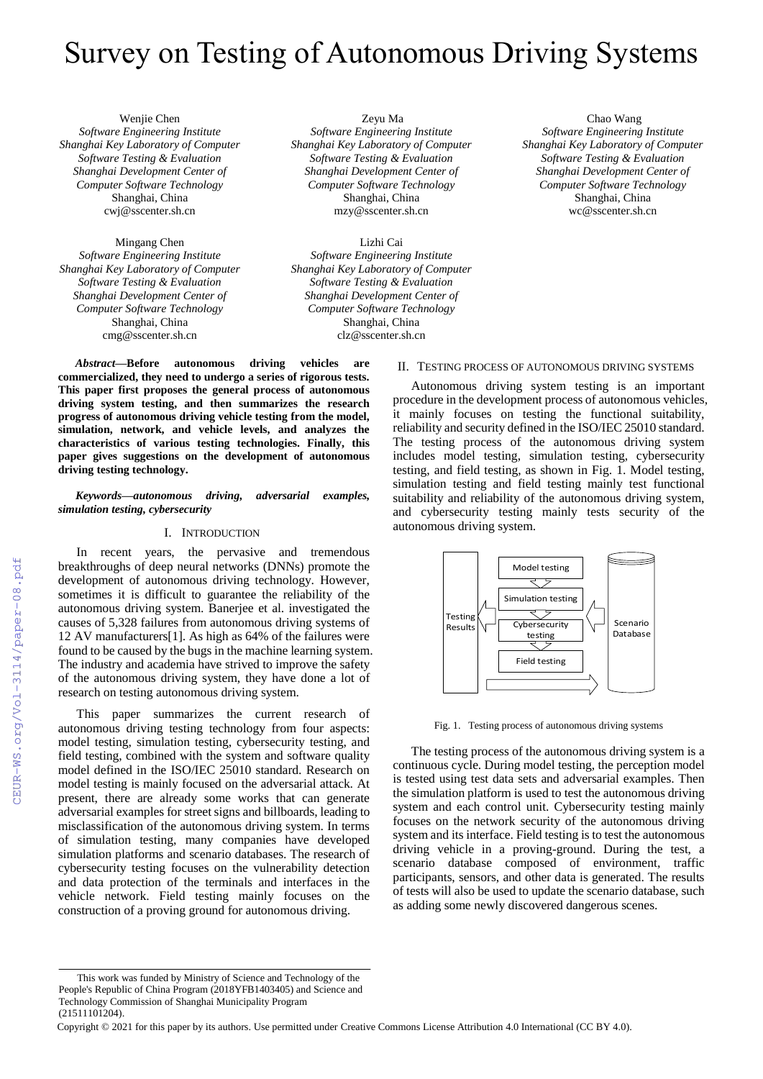# Survey on Testing of Autonomous Driving Systems

Wenjie Chen *Software Engineering Institute Shanghai Key Laboratory of Computer Software Testing & Evaluation Shanghai Development Center of Computer Software Technology* Shanghai, China cwj@sscenter.sh.cn

Mingang Chen *Software Engineering Institute Shanghai Key Laboratory of Computer Software Testing & Evaluation Shanghai Development Center of Computer Software Technology* Shanghai, China cmg@sscenter.sh.cn

Zeyu Ma *Software Engineering Institute Shanghai Key Laboratory of Computer Software Testing & Evaluation Shanghai Development Center of Computer Software Technology* Shanghai, China mzy@sscenter.sh.cn

Lizhi Cai *Software Engineering Institute Shanghai Key Laboratory of Computer Software Testing & Evaluation Shanghai Development Center of Computer Software Technology* Shanghai, China clz@sscenter.sh.cn

*Abstract***—Before autonomous driving vehicles are commercialized, they need to undergo a series of rigorous tests. This paper first proposes the general process of autonomous driving system testing, and then summarizes the research progress of autonomous driving vehicle testing from the model, simulation, network, and vehicle levels, and analyzes the characteristics of various testing technologies. Finally, this paper gives suggestions on the development of autonomous driving testing technology.**

# *Keywords—autonomous driving, adversarial examples, simulation testing, cybersecurity*

# I. INTRODUCTION

In recent years, the pervasive and tremendous breakthroughs of deep neural networks (DNNs) promote the development of autonomous driving technology. However, sometimes it is difficult to guarantee the reliability of the autonomous driving system. Banerjee et al. investigated the causes of 5,328 failures from autonomous driving systems of 12 AV manufacturers[1]. As high as 64% of the failures were found to be caused by the bugs in the machine learning system. The industry and academia have strived to improve the safety of the autonomous driving system, they have done a lot of research on testing autonomous driving system.

This paper summarizes the current research of autonomous driving testing technology from four aspects: model testing, simulation testing, cybersecurity testing, and field testing, combined with the system and software quality model defined in the ISO/IEC 25010 standard. Research on model testing is mainly focused on the adversarial attack. At present, there are already some works that can generate adversarial examples for street signs and billboards, leading to misclassification of the autonomous driving system. In terms of simulation testing, many companies have developed simulation platforms and scenario databases. The research of cybersecurity testing focuses on the vulnerability detection and data protection of the terminals and interfaces in the vehicle network. Field testing mainly focuses on the construction of a proving ground for autonomous driving.

Chao Wang *Software Engineering Institute Shanghai Key Laboratory of Computer Software Testing & Evaluation Shanghai Development Center of Computer Software Technology* Shanghai, China wc@sscenter.sh.cn

## II. TESTING PROCESS OF AUTONOMOUS DRIVING SYSTEMS

Autonomous driving system testing is an important procedure in the development process of autonomous vehicles, it mainly focuses on testing the functional suitability, reliability and security defined in the ISO/IEC 25010 standard. The testing process of the autonomous driving system includes model testing, simulation testing, cybersecurity testing, and field testing, as shown in Fig. 1. Model testing, simulation testing and field testing mainly test functional suitability and reliability of the autonomous driving system, and cybersecurity testing mainly tests security of the autonomous driving system.



Fig. 1. Testing process of autonomous driving systems

The testing process of the autonomous driving system is a continuous cycle. During model testing, the perception model is tested using test data sets and adversarial examples. Then the simulation platform is used to test the autonomous driving system and each control unit. Cybersecurity testing mainly focuses on the network security of the autonomous driving system and its interface. Field testing is to test the autonomous driving vehicle in a proving-ground. During the test, a scenario database composed of environment, traffic participants, sensors, and other data is generated. The results of tests will also be used to update the scenario database, such as adding some newly discovered dangerous scenes.

This work was funded by Ministry of Science and Technology of the People's Republic of China Program (2018YFB1403405) and Science and Technology Commission of Shanghai Municipality Program (21511101204).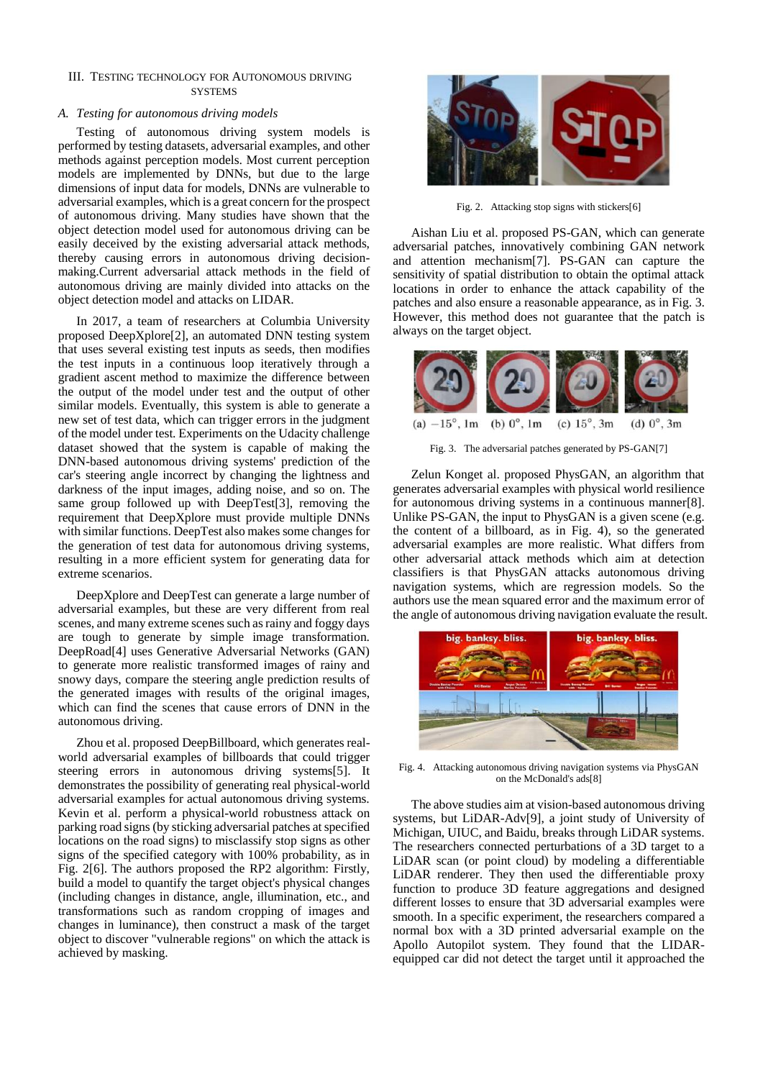# III. TESTING TECHNOLOGY FOR AUTONOMOUS DRIVING **SYSTEMS**

# *A. Testing for autonomous driving models*

Testing of autonomous driving system models is performed by testing datasets, adversarial examples, and other methods against perception models. Most current perception models are implemented by DNNs, but due to the large dimensions of input data for models, DNNs are vulnerable to adversarial examples, which is a great concern for the prospect of autonomous driving. Many studies have shown that the object detection model used for autonomous driving can be easily deceived by the existing adversarial attack methods, thereby causing errors in autonomous driving decisionmaking.Current adversarial attack methods in the field of autonomous driving are mainly divided into attacks on the object detection model and attacks on LIDAR.

In 2017, a team of researchers at Columbia University proposed DeepXplore[2], an automated DNN testing system that uses several existing test inputs as seeds, then modifies the test inputs in a continuous loop iteratively through a gradient ascent method to maximize the difference between the output of the model under test and the output of other similar models. Eventually, this system is able to generate a new set of test data, which can trigger errors in the judgment of the model under test. Experiments on the Udacity challenge dataset showed that the system is capable of making the DNN-based autonomous driving systems' prediction of the car's steering angle incorrect by changing the lightness and darkness of the input images, adding noise, and so on. The same group followed up with DeepTest[3], removing the requirement that DeepXplore must provide multiple DNNs with similar functions. DeepTest also makes some changes for the generation of test data for autonomous driving systems, resulting in a more efficient system for generating data for extreme scenarios.

DeepXplore and DeepTest can generate a large number of adversarial examples, but these are very different from real scenes, and many extreme scenes such as rainy and foggy days are tough to generate by simple image transformation. DeepRoad[4] uses Generative Adversarial Networks (GAN) to generate more realistic transformed images of rainy and snowy days, compare the steering angle prediction results of the generated images with results of the original images, which can find the scenes that cause errors of DNN in the autonomous driving.

Zhou et al. proposed DeepBillboard, which generates realworld adversarial examples of billboards that could trigger steering errors in autonomous driving systems[5]. It demonstrates the possibility of generating real physical-world adversarial examples for actual autonomous driving systems. Kevin et al. perform a physical-world robustness attack on parking road signs (by sticking adversarial patches at specified locations on the road signs) to misclassify stop signs as other signs of the specified category with 100% probability, as in Fig. 2[6]. The authors proposed the RP2 algorithm: Firstly, build a model to quantify the target object's physical changes (including changes in distance, angle, illumination, etc., and transformations such as random cropping of images and changes in luminance), then construct a mask of the target object to discover "vulnerable regions" on which the attack is achieved by masking.



Fig. 2. Attacking stop signs with stickers[6]

Aishan Liu et al. proposed PS-GAN, which can generate adversarial patches, innovatively combining GAN network and attention mechanism[7]. PS-GAN can capture the sensitivity of spatial distribution to obtain the optimal attack locations in order to enhance the attack capability of the patches and also ensure a reasonable appearance, as in Fig. 3. However, this method does not guarantee that the patch is always on the target object.



Fig. 3. The adversarial patches generated by PS-GAN[7]

Zelun Konget al. proposed PhysGAN, an algorithm that generates adversarial examples with physical world resilience for autonomous driving systems in a continuous manner[8]. Unlike PS-GAN, the input to PhysGAN is a given scene (e.g. the content of a billboard, as in Fig. 4), so the generated adversarial examples are more realistic. What differs from other adversarial attack methods which aim at detection classifiers is that PhysGAN attacks autonomous driving navigation systems, which are regression models. So the authors use the mean squared error and the maximum error of the angle of autonomous driving navigation evaluate the result.



Fig. 4. Attacking autonomous driving navigation systems via PhysGAN on the McDonald's ads[8]

The above studies aim at vision-based autonomous driving systems, but LiDAR-Adv[9], a joint study of University of Michigan, UIUC, and Baidu, breaks through LiDAR systems. The researchers connected perturbations of a 3D target to a LiDAR scan (or point cloud) by modeling a differentiable LiDAR renderer. They then used the differentiable proxy function to produce 3D feature aggregations and designed different losses to ensure that 3D adversarial examples were smooth. In a specific experiment, the researchers compared a normal box with a 3D printed adversarial example on the Apollo Autopilot system. They found that the LIDARequipped car did not detect the target until it approached the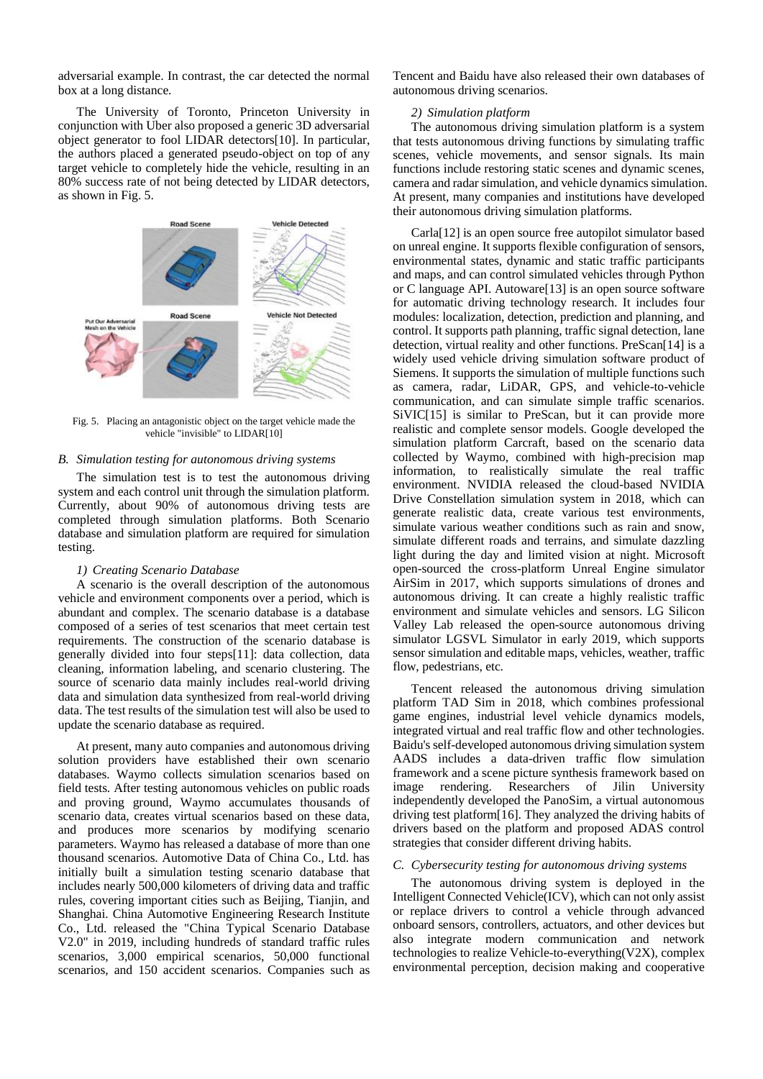adversarial example. In contrast, the car detected the normal box at a long distance.

The University of Toronto, Princeton University in conjunction with Uber also proposed a generic 3D adversarial object generator to fool LIDAR detectors[10]. In particular, the authors placed a generated pseudo-object on top of any target vehicle to completely hide the vehicle, resulting in an 80% success rate of not being detected by LIDAR detectors, as shown in Fig. 5.



Fig. 5. Placing an antagonistic object on the target vehicle made the vehicle "invisible" to LIDAR[10]

#### *B. Simulation testing for autonomous driving systems*

The simulation test is to test the autonomous driving system and each control unit through the simulation platform. Currently, about 90% of autonomous driving tests are completed through simulation platforms. Both Scenario database and simulation platform are required for simulation testing.

#### *1) Creating Scenario Database*

A scenario is the overall description of the autonomous vehicle and environment components over a period, which is abundant and complex. The scenario database is a database composed of a series of test scenarios that meet certain test requirements. The construction of the scenario database is generally divided into four steps[11]: data collection, data cleaning, information labeling, and scenario clustering. The source of scenario data mainly includes real-world driving data and simulation data synthesized from real-world driving data. The test results of the simulation test will also be used to update the scenario database as required.

At present, many auto companies and autonomous driving solution providers have established their own scenario databases. Waymo collects simulation scenarios based on field tests. After testing autonomous vehicles on public roads and proving ground, Waymo accumulates thousands of scenario data, creates virtual scenarios based on these data, and produces more scenarios by modifying scenario parameters. Waymo has released a database of more than one thousand scenarios. Automotive Data of China Co., Ltd. has initially built a simulation testing scenario database that includes nearly 500,000 kilometers of driving data and traffic rules, covering important cities such as Beijing, Tianjin, and Shanghai. China Automotive Engineering Research Institute Co., Ltd. released the "China Typical Scenario Database V2.0" in 2019, including hundreds of standard traffic rules scenarios, 3,000 empirical scenarios, 50,000 functional scenarios, and 150 accident scenarios. Companies such as

Tencent and Baidu have also released their own databases of autonomous driving scenarios.

#### *2) Simulation platform*

The autonomous driving simulation platform is a system that tests autonomous driving functions by simulating traffic scenes, vehicle movements, and sensor signals. Its main functions include restoring static scenes and dynamic scenes, camera and radar simulation, and vehicle dynamics simulation. At present, many companies and institutions have developed their autonomous driving simulation platforms.

Carla[12] is an open source free autopilot simulator based on unreal engine. It supports flexible configuration of sensors, environmental states, dynamic and static traffic participants and maps, and can control simulated vehicles through Python or C language API. Autoware[13] is an open source software for automatic driving technology research. It includes four modules: localization, detection, prediction and planning, and control. It supports path planning, traffic signal detection, lane detection, virtual reality and other functions. PreScan[14] is a widely used vehicle driving simulation software product of Siemens. It supports the simulation of multiple functions such as camera, radar, LiDAR, GPS, and vehicle-to-vehicle communication, and can simulate simple traffic scenarios. SiVIC[15] is similar to PreScan, but it can provide more realistic and complete sensor models. Google developed the simulation platform Carcraft, based on the scenario data collected by Waymo, combined with high-precision map information, to realistically simulate the real traffic environment. NVIDIA released the cloud-based NVIDIA Drive Constellation simulation system in 2018, which can generate realistic data, create various test environments, simulate various weather conditions such as rain and snow, simulate different roads and terrains, and simulate dazzling light during the day and limited vision at night. Microsoft open-sourced the cross-platform Unreal Engine simulator AirSim in 2017, which supports simulations of drones and autonomous driving. It can create a highly realistic traffic environment and simulate vehicles and sensors. LG Silicon Valley Lab released the open-source autonomous driving simulator LGSVL Simulator in early 2019, which supports sensor simulation and editable maps, vehicles, weather, traffic flow, pedestrians, etc.

Tencent released the autonomous driving simulation platform TAD Sim in 2018, which combines professional game engines, industrial level vehicle dynamics models, integrated virtual and real traffic flow and other technologies. Baidu's self-developed autonomous driving simulation system AADS includes a data-driven traffic flow simulation framework and a scene picture synthesis framework based on image rendering. Researchers of Jilin University independently developed the PanoSim, a virtual autonomous driving test platform[16]. They analyzed the driving habits of drivers based on the platform and proposed ADAS control strategies that consider different driving habits.

## *C. Cybersecurity testing for autonomous driving systems*

The autonomous driving system is deployed in the Intelligent Connected Vehicle(ICV), which can not only assist or replace drivers to control a vehicle through advanced onboard sensors, controllers, actuators, and other devices but also integrate modern communication and network technologies to realize Vehicle-to-everything(V2X), complex environmental perception, decision making and cooperative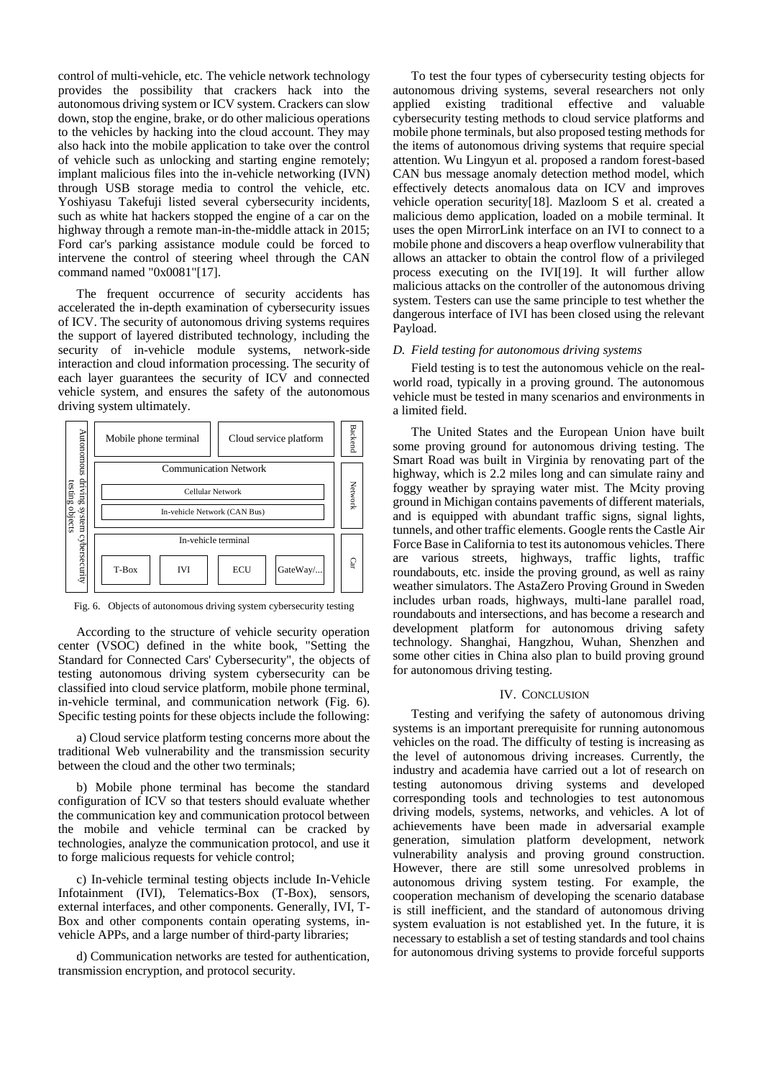control of multi-vehicle, etc. The vehicle network technology provides the possibility that crackers hack into the autonomous driving system or ICV system. Crackers can slow down, stop the engine, brake, or do other malicious operations to the vehicles by hacking into the cloud account. They may also hack into the mobile application to take over the control of vehicle such as unlocking and starting engine remotely; implant malicious files into the in-vehicle networking (IVN) through USB storage media to control the vehicle, etc. Yoshiyasu Takefuji listed several cybersecurity incidents, such as white hat hackers stopped the engine of a car on the highway through a remote man-in-the-middle attack in 2015; Ford car's parking assistance module could be forced to intervene the control of steering wheel through the CAN command named "0x0081"[17].

The frequent occurrence of security accidents has accelerated the in-depth examination of cybersecurity issues of ICV. The security of autonomous driving systems requires the support of layered distributed technology, including the security of in-vehicle module systems, network-side interaction and cloud information processing. The security of each layer guarantees the security of ICV and connected vehicle system, and ensures the safety of the autonomous driving system ultimately.



Fig. 6. Objects of autonomous driving system cybersecurity testing

According to the structure of vehicle security operation center (VSOC) defined in the white book, "Setting the Standard for Connected Cars' Cybersecurity", the objects of testing autonomous driving system cybersecurity can be classified into cloud service platform, mobile phone terminal, in-vehicle terminal, and communication network (Fig. 6). Specific testing points for these objects include the following:

a) Cloud service platform testing concerns more about the traditional Web vulnerability and the transmission security between the cloud and the other two terminals;

b) Mobile phone terminal has become the standard configuration of ICV so that testers should evaluate whether the communication key and communication protocol between the mobile and vehicle terminal can be cracked by technologies, analyze the communication protocol, and use it to forge malicious requests for vehicle control;

c) In-vehicle terminal testing objects include In-Vehicle Infotainment (IVI), Telematics-Box (T-Box), sensors, external interfaces, and other components. Generally, IVI, T-Box and other components contain operating systems, invehicle APPs, and a large number of third-party libraries;

d) Communication networks are tested for authentication, transmission encryption, and protocol security.

To test the four types of cybersecurity testing objects for autonomous driving systems, several researchers not only applied existing traditional effective and valuable cybersecurity testing methods to cloud service platforms and mobile phone terminals, but also proposed testing methods for the items of autonomous driving systems that require special attention. Wu Lingyun et al. proposed a random forest-based CAN bus message anomaly detection method model, which effectively detects anomalous data on ICV and improves vehicle operation security[18]. Mazloom S et al. created a malicious demo application, loaded on a mobile terminal. It uses the open MirrorLink interface on an IVI to connect to a mobile phone and discovers a heap overflow vulnerability that allows an attacker to obtain the control flow of a privileged process executing on the IVI[19]. It will further allow malicious attacks on the controller of the autonomous driving system. Testers can use the same principle to test whether the dangerous interface of IVI has been closed using the relevant Payload.

## *D. Field testing for autonomous driving systems*

Field testing is to test the autonomous vehicle on the realworld road, typically in a proving ground. The autonomous vehicle must be tested in many scenarios and environments in a limited field.

The United States and the European Union have built some proving ground for autonomous driving testing. The Smart Road was built in Virginia by renovating part of the highway, which is 2.2 miles long and can simulate rainy and foggy weather by spraying water mist. The Mcity proving ground in Michigan contains pavements of different materials, and is equipped with abundant traffic signs, signal lights, tunnels, and other traffic elements. Google rents the Castle Air Force Base in California to test its autonomous vehicles. There are various streets, highways, traffic lights, traffic roundabouts, etc. inside the proving ground, as well as rainy weather simulators. The AstaZero Proving Ground in Sweden includes urban roads, highways, multi-lane parallel road, roundabouts and intersections, and has become a research and development platform for autonomous driving safety technology. Shanghai, Hangzhou, Wuhan, Shenzhen and some other cities in China also plan to build proving ground for autonomous driving testing.

# IV. CONCLUSION

Testing and verifying the safety of autonomous driving systems is an important prerequisite for running autonomous vehicles on the road. The difficulty of testing is increasing as the level of autonomous driving increases. Currently, the industry and academia have carried out a lot of research on testing autonomous driving systems and developed corresponding tools and technologies to test autonomous driving models, systems, networks, and vehicles. A lot of achievements have been made in adversarial example generation, simulation platform development, network vulnerability analysis and proving ground construction. However, there are still some unresolved problems in autonomous driving system testing. For example, the cooperation mechanism of developing the scenario database is still inefficient, and the standard of autonomous driving system evaluation is not established yet. In the future, it is necessary to establish a set of testing standards and tool chains for autonomous driving systems to provide forceful supports